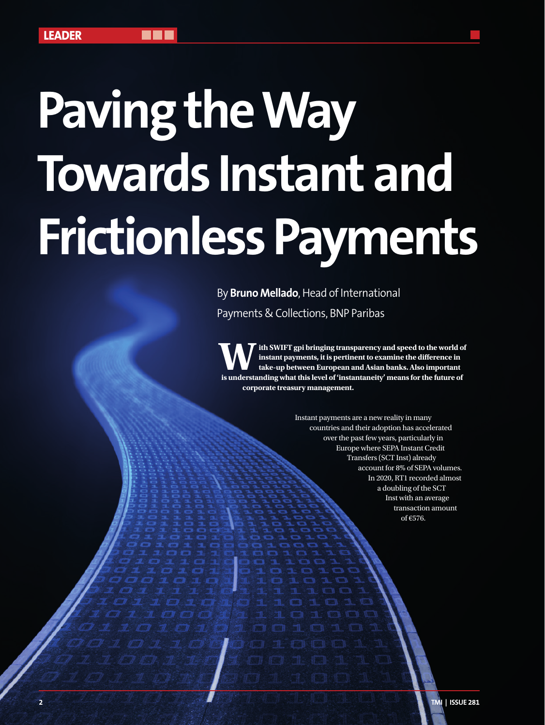## **Paving the Way Towards Instant and Frictionless Payments**

By **Bruno Mellado**, Head of International Payments & Collections, BNP Paribas

**With SWIFT gpi bringing transparency and speed to the world of instant payments, it is pertinent to examine the difference in take-up between European and Asian banks. Also important is understanding what this level of 'instantaneity' means for the future of corporate treasury management.**

> Instant payments are a new reality in many countries and their adoption has accelerated over the past few years, particularly in Europe where SEPA Instant Credit Transfers (SCT Inst) already account for 8% of SEPA volumes. In 2020, RT1 recorded almost a doubling of the SCT Inst with an average transaction amount of €576.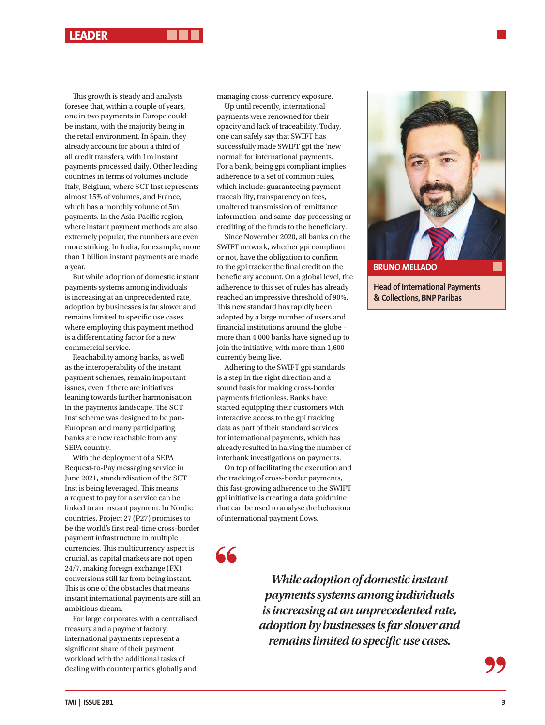This growth is steady and analysts foresee that, within a couple of years, one in two payments in Europe could be instant, with the majority being in the retail environment. In Spain, they already account for about a third of all credit transfers, with 1m instant payments processed daily. Other leading countries in terms of volumes include Italy, Belgium, where SCT Inst represents almost 15% of volumes, and France, which has a monthly volume of 5m payments. In the Asia-Pacific region, where instant payment methods are also extremely popular, the numbers are even more striking. In India, for example, more than 1 billion instant payments are made a year.

But while adoption of domestic instant payments systems among individuals is increasing at an unprecedented rate, adoption by businesses is far slower and remains limited to specific use cases where employing this payment method is a differentiating factor for a new commercial service.

Reachability among banks, as well as the interoperability of the instant payment schemes, remain important issues, even if there are initiatives leaning towards further harmonisation in the payments landscape. The SCT Inst scheme was designed to be pan-European and many participating banks are now reachable from any SEPA country.

With the deployment of a SEPA Request-to-Pay messaging service in June 2021, standardisation of the SCT Inst is being leveraged. This means a request to pay for a service can be linked to an instant payment. In Nordic countries, Project 27 (P27) promises to be the world's first real-time cross-border payment infrastructure in multiple currencies. This multicurrency aspect is crucial, as capital markets are not open 24/7, making foreign exchange (FX) conversions still far from being instant. This is one of the obstacles that means instant international payments are still an ambitious dream.

For large corporates with a centralised treasury and a payment factory, international payments represent a significant share of their payment workload with the additional tasks of dealing with counterparties globally and

managing cross-currency exposure.

Up until recently, international payments were renowned for their opacity and lack of traceability. Today, one can safely say that SWIFT has successfully made SWIFT gpi the 'new normal' for international payments. For a bank, being gpi compliant implies adherence to a set of common rules, which include: guaranteeing payment traceability, transparency on fees, unaltered transmission of remittance information, and same-day processing or crediting of the funds to the beneficiary.

Since November 2020, all banks on the SWIFT network, whether gpi compliant or not, have the obligation to confirm to the gpi tracker the final credit on the beneficiary account. On a global level, the adherence to this set of rules has already reached an impressive threshold of 90%. This new standard has rapidly been adopted by a large number of users and financial institutions around the globe – more than 4,000 banks have signed up to join the initiative, with more than 1,600 currently being live.

Adhering to the SWIFT gpi standards is a step in the right direction and a sound basis for making cross-border payments frictionless. Banks have started equipping their customers with interactive access to the gpi tracking data as part of their standard services for international payments, which has already resulted in halving the number of interbank investigations on payments.

On top of facilitating the execution and the tracking of cross-border payments, this fast-growing adherence to the SWIFT gpi initiative is creating a data goldmine that can be used to analyse the behaviour of international payment flows.

56

*While adoption of domestic instant payments systems among individuals is increasing at an unprecedented rate, adoption by businesses is far slower and remains limited to specific use cases.*



**Head of International Payments & Collections, BNP Paribas**